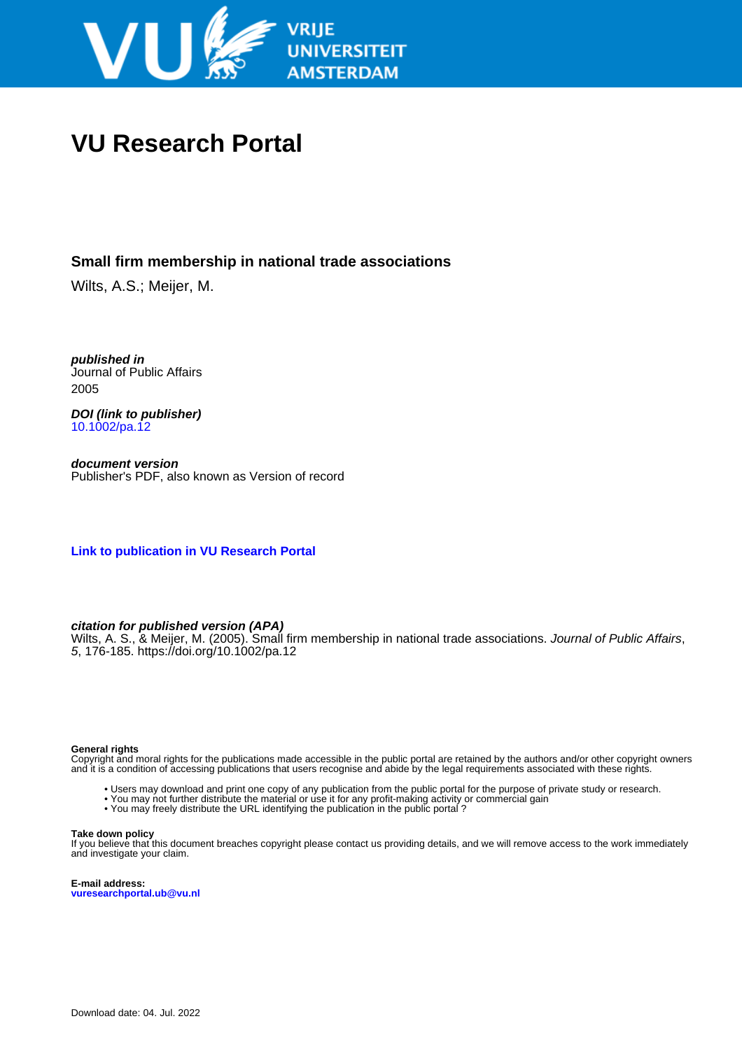

## **VU Research Portal**

## **Small firm membership in national trade associations**

Wilts, A.S.; Meijer, M.

**published in** Journal of Public Affairs 2005

**DOI (link to publisher)** [10.1002/pa.12](https://doi.org/10.1002/pa.12)

**document version** Publisher's PDF, also known as Version of record

**[Link to publication in VU Research Portal](https://research.vu.nl/en/publications/a826cbe9-83d2-4a8c-bbfd-e47a296d3f3d)**

#### **citation for published version (APA)**

Wilts, A. S., & Meijer, M. (2005). Small firm membership in national trade associations. Journal of Public Affairs, 5, 176-185.<https://doi.org/10.1002/pa.12>

#### **General rights**

Copyright and moral rights for the publications made accessible in the public portal are retained by the authors and/or other copyright owners and it is a condition of accessing publications that users recognise and abide by the legal requirements associated with these rights.

- Users may download and print one copy of any publication from the public portal for the purpose of private study or research.
- You may not further distribute the material or use it for any profit-making activity or commercial gain
- You may freely distribute the URL identifying the publication in the public portal ?

#### **Take down policy**

If you believe that this document breaches copyright please contact us providing details, and we will remove access to the work immediately and investigate your claim.

**E-mail address: vuresearchportal.ub@vu.nl**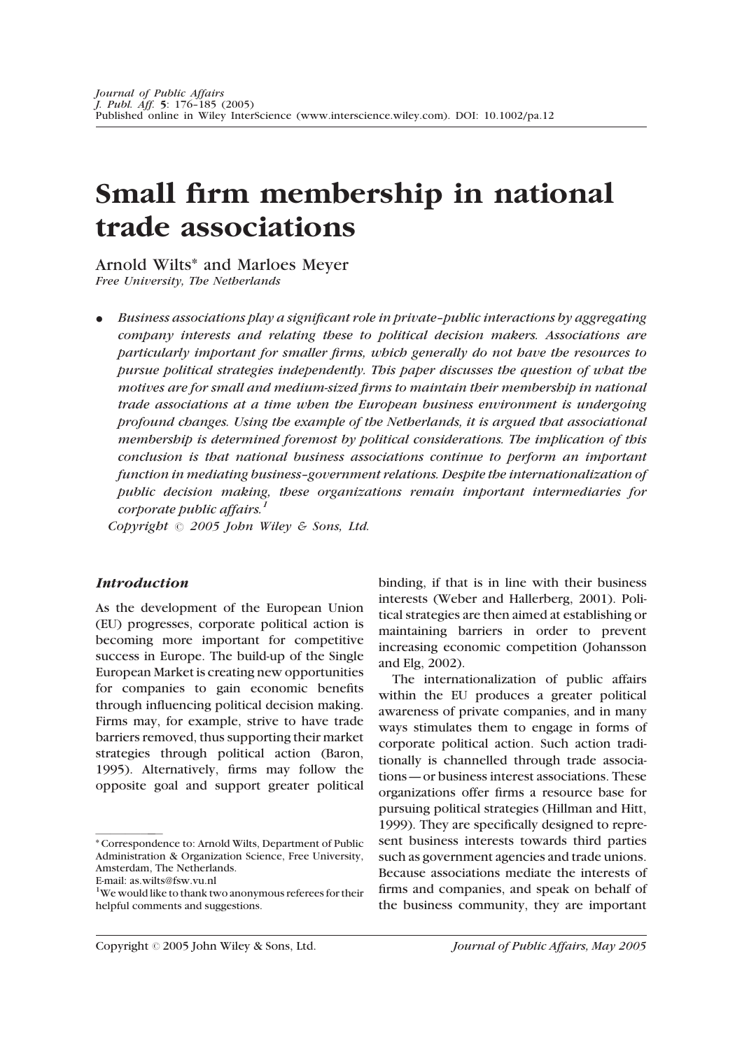# Small firm membership in national trade associations

Arnold Wilts\* and Marloes Meyer Free University, The Netherlands

 $\bullet$  Business associations play a significant role in private–public interactions by aggregating company interests and relating these to political decision makers. Associations are particularly important for smaller firms, which generally do not have the resources to pursue political strategies independently. This paper discusses the question of what the motives are for small and medium-sized firms to maintain their membership in national trade associations at a time when the European business environment is undergoing profound changes. Using the example of the Netherlands, it is argued that associational membership is determined foremost by political considerations. The implication of this conclusion is that national business associations continue to perform an important function in mediating business–government relations. Despite the internationalization of public decision making, these organizations remain important intermediaries for corporate public affairs.<sup>1</sup>

Copyright  $@$  2005 John Wiley & Sons, Ltd.

## **Introduction**

As the development of the European Union (EU) progresses, corporate political action is becoming more important for competitive success in Europe. The build-up of the Single European Market is creating new opportunities for companies to gain economic benefits through influencing political decision making. Firms may, for example, strive to have trade barriers removed, thus supporting their market strategies through political action (Baron, 1995). Alternatively, firms may follow the opposite goal and support greater political binding, if that is in line with their business interests (Weber and Hallerberg, 2001). Political strategies are then aimed at establishing or maintaining barriers in order to prevent increasing economic competition (Johansson and Elg, 2002).

The internationalization of public affairs within the EU produces a greater political awareness of private companies, and in many ways stimulates them to engage in forms of corporate political action. Such action traditionally is channelled through trade associations—or business interest associations. These organizations offer firms a resource base for pursuing political strategies (Hillman and Hitt, 1999). They are specifically designed to represent business interests towards third parties such as government agencies and trade unions. Because associations mediate the interests of firms and companies, and speak on behalf of the business community, they are important

<sup>—————</sup> \* Correspondence to: Arnold Wilts, Department of Public Administration & Organization Science, Free University, Amsterdam, The Netherlands.

E-mail: as.wilts@fsw.vu.nl

<sup>&</sup>lt;sup>1</sup>We would like to thank two anonymous referees for their helpful comments and suggestions.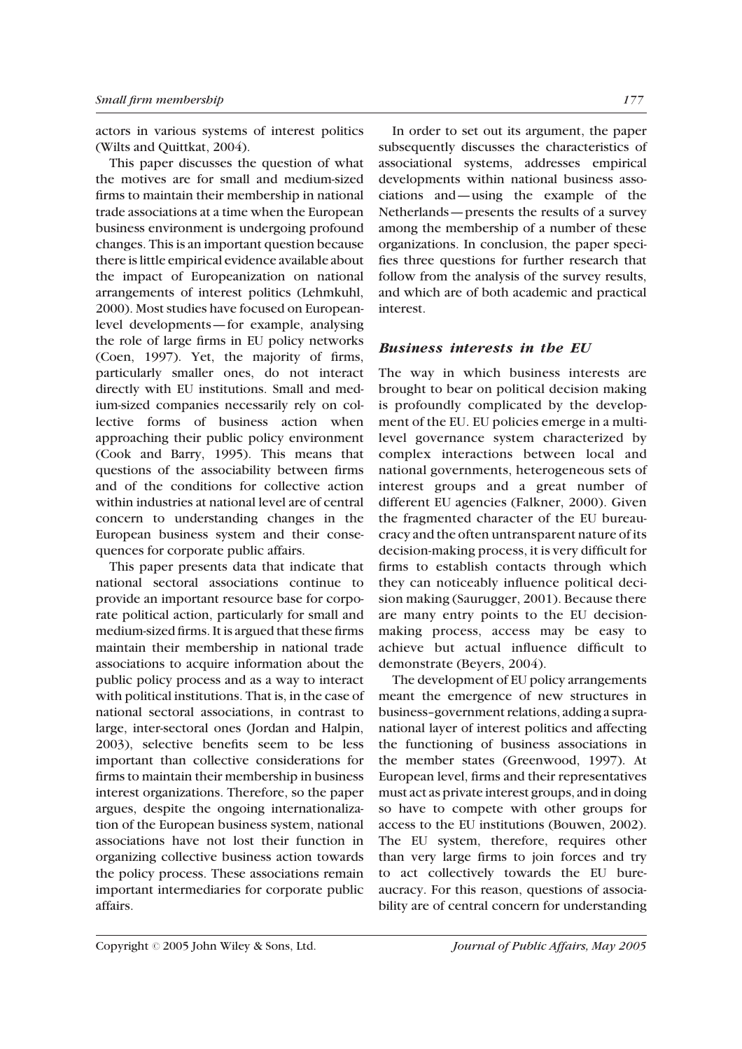actors in various systems of interest politics (Wilts and Quittkat, 2004).

This paper discusses the question of what the motives are for small and medium-sized firms to maintain their membership in national trade associations at a time when the European business environment is undergoing profound changes. This is an important question because there is little empirical evidence available about the impact of Europeanization on national arrangements of interest politics (Lehmkuhl, 2000). Most studies have focused on Europeanlevel developments—for example, analysing the role of large firms in EU policy networks (Coen, 1997). Yet, the majority of firms, particularly smaller ones, do not interact directly with EU institutions. Small and medium-sized companies necessarily rely on collective forms of business action when approaching their public policy environment (Cook and Barry, 1995). This means that questions of the associability between firms and of the conditions for collective action within industries at national level are of central concern to understanding changes in the European business system and their consequences for corporate public affairs.

This paper presents data that indicate that national sectoral associations continue to provide an important resource base for corporate political action, particularly for small and medium-sized firms. It is argued that these firms maintain their membership in national trade associations to acquire information about the public policy process and as a way to interact with political institutions. That is, in the case of national sectoral associations, in contrast to large, inter-sectoral ones (Jordan and Halpin, 2003), selective benefits seem to be less important than collective considerations for firms to maintain their membership in business interest organizations. Therefore, so the paper argues, despite the ongoing internationalization of the European business system, national associations have not lost their function in organizing collective business action towards the policy process. These associations remain important intermediaries for corporate public affairs.

In order to set out its argument, the paper subsequently discusses the characteristics of associational systems, addresses empirical developments within national business associations and—using the example of the Netherlands—presents the results of a survey among the membership of a number of these organizations. In conclusion, the paper specifies three questions for further research that follow from the analysis of the survey results, and which are of both academic and practical interest.

#### Business interests in the EU

The way in which business interests are brought to bear on political decision making is profoundly complicated by the development of the EU. EU policies emerge in a multilevel governance system characterized by complex interactions between local and national governments, heterogeneous sets of interest groups and a great number of different EU agencies (Falkner, 2000). Given the fragmented character of the EU bureaucracy and the often untransparent nature of its decision-making process, it is very difficult for firms to establish contacts through which they can noticeably influence political decision making (Saurugger, 2001). Because there are many entry points to the EU decisionmaking process, access may be easy to achieve but actual influence difficult to demonstrate (Beyers, 2004).

The development of EU policy arrangements meant the emergence of new structures in business–government relations, adding a supranational layer of interest politics and affecting the functioning of business associations in the member states (Greenwood, 1997). At European level, firms and their representatives must act as private interest groups, and in doing so have to compete with other groups for access to the EU institutions (Bouwen, 2002). The EU system, therefore, requires other than very large firms to join forces and try to act collectively towards the EU bureaucracy. For this reason, questions of associability are of central concern for understanding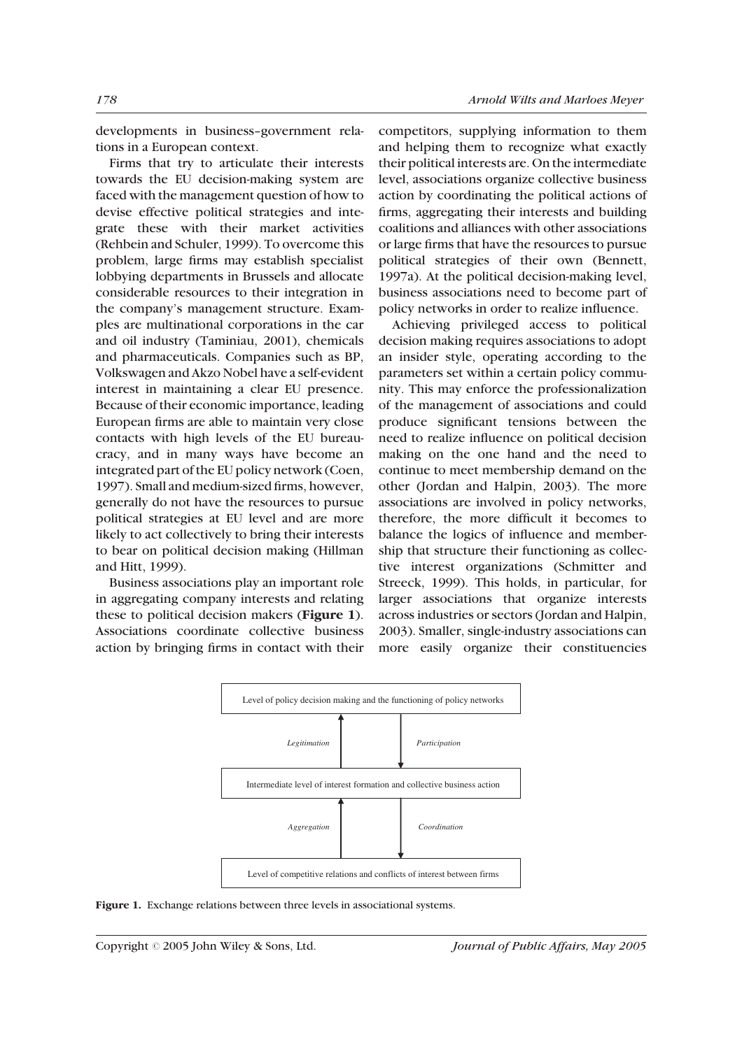developments in business–government relations in a European context.

Firms that try to articulate their interests towards the EU decision-making system are faced with the management question of how to devise effective political strategies and integrate these with their market activities (Rehbein and Schuler, 1999). To overcome this problem, large firms may establish specialist lobbying departments in Brussels and allocate considerable resources to their integration in the company's management structure. Examples are multinational corporations in the car and oil industry (Taminiau, 2001), chemicals and pharmaceuticals. Companies such as BP, Volkswagen and Akzo Nobel have a self-evident interest in maintaining a clear EU presence. Because of their economic importance, leading European firms are able to maintain very close contacts with high levels of the EU bureaucracy, and in many ways have become an integrated part of the EU policy network (Coen, 1997). Small and medium-sized firms, however, generally do not have the resources to pursue political strategies at EU level and are more likely to act collectively to bring their interests to bear on political decision making (Hillman and Hitt, 1999).

Business associations play an important role in aggregating company interests and relating these to political decision makers (Figure 1). Associations coordinate collective business action by bringing firms in contact with their competitors, supplying information to them and helping them to recognize what exactly their political interests are. On the intermediate level, associations organize collective business action by coordinating the political actions of firms, aggregating their interests and building coalitions and alliances with other associations or large firms that have the resources to pursue political strategies of their own (Bennett, 1997a). At the political decision-making level, business associations need to become part of policy networks in order to realize influence.

Achieving privileged access to political decision making requires associations to adopt an insider style, operating according to the parameters set within a certain policy community. This may enforce the professionalization of the management of associations and could produce significant tensions between the need to realize influence on political decision making on the one hand and the need to continue to meet membership demand on the other (Jordan and Halpin, 2003). The more associations are involved in policy networks, therefore, the more difficult it becomes to balance the logics of influence and membership that structure their functioning as collective interest organizations (Schmitter and Streeck, 1999). This holds, in particular, for larger associations that organize interests across industries or sectors (Jordan and Halpin, 2003). Smaller, single-industry associations can more easily organize their constituencies



Figure 1. Exchange relations between three levels in associational systems.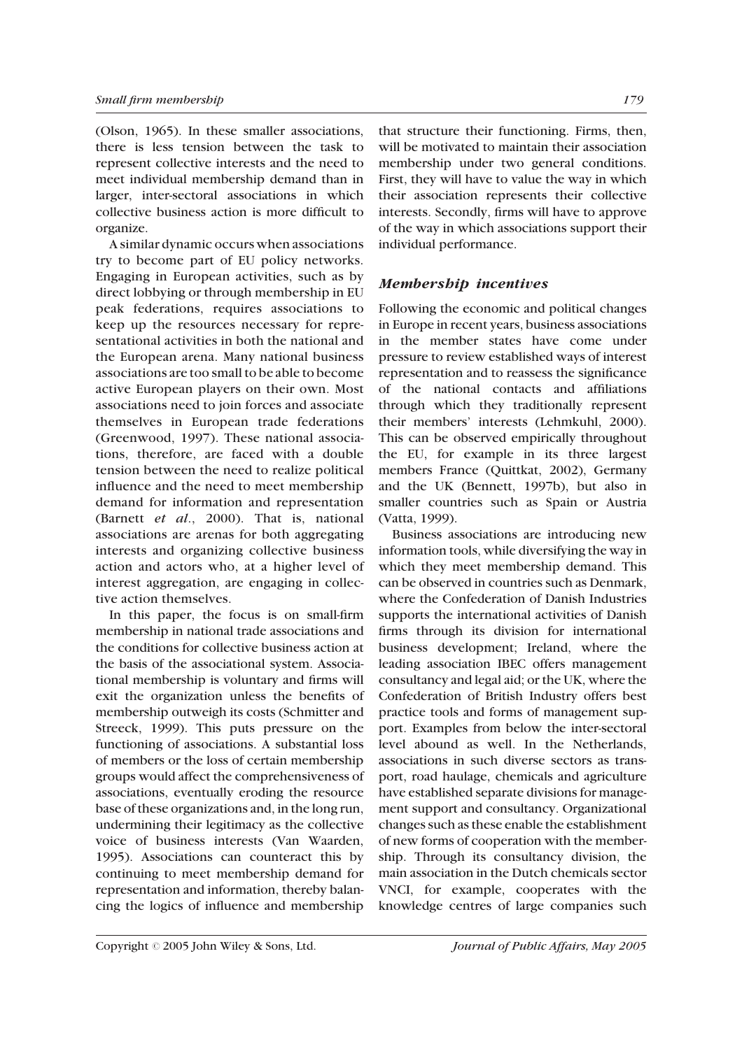(Olson, 1965). In these smaller associations, there is less tension between the task to represent collective interests and the need to meet individual membership demand than in larger, inter-sectoral associations in which collective business action is more difficult to organize.

A similar dynamic occurs when associations try to become part of EU policy networks. Engaging in European activities, such as by direct lobbying or through membership in EU peak federations, requires associations to keep up the resources necessary for representational activities in both the national and the European arena. Many national business associations are too small to be able to become active European players on their own. Most associations need to join forces and associate themselves in European trade federations (Greenwood, 1997). These national associations, therefore, are faced with a double tension between the need to realize political influence and the need to meet membership demand for information and representation (Barnett et al., 2000). That is, national associations are arenas for both aggregating interests and organizing collective business action and actors who, at a higher level of interest aggregation, are engaging in collective action themselves.

In this paper, the focus is on small-firm membership in national trade associations and the conditions for collective business action at the basis of the associational system. Associational membership is voluntary and firms will exit the organization unless the benefits of membership outweigh its costs (Schmitter and Streeck, 1999). This puts pressure on the functioning of associations. A substantial loss of members or the loss of certain membership groups would affect the comprehensiveness of associations, eventually eroding the resource base of these organizations and, in the long run, undermining their legitimacy as the collective voice of business interests (Van Waarden, 1995). Associations can counteract this by continuing to meet membership demand for representation and information, thereby balancing the logics of influence and membership that structure their functioning. Firms, then, will be motivated to maintain their association membership under two general conditions. First, they will have to value the way in which their association represents their collective interests. Secondly, firms will have to approve of the way in which associations support their individual performance.

## Membership incentives

Following the economic and political changes in Europe in recent years, business associations in the member states have come under pressure to review established ways of interest representation and to reassess the significance of the national contacts and affiliations through which they traditionally represent their members' interests (Lehmkuhl, 2000). This can be observed empirically throughout the EU, for example in its three largest members France (Quittkat, 2002), Germany and the UK (Bennett, 1997b), but also in smaller countries such as Spain or Austria (Vatta, 1999).

Business associations are introducing new information tools, while diversifying the way in which they meet membership demand. This can be observed in countries such as Denmark, where the Confederation of Danish Industries supports the international activities of Danish firms through its division for international business development; Ireland, where the leading association IBEC offers management consultancy and legal aid; or the UK, where the Confederation of British Industry offers best practice tools and forms of management support. Examples from below the inter-sectoral level abound as well. In the Netherlands, associations in such diverse sectors as transport, road haulage, chemicals and agriculture have established separate divisions for management support and consultancy. Organizational changes such as these enable the establishment of new forms of cooperation with the membership. Through its consultancy division, the main association in the Dutch chemicals sector VNCI, for example, cooperates with the knowledge centres of large companies such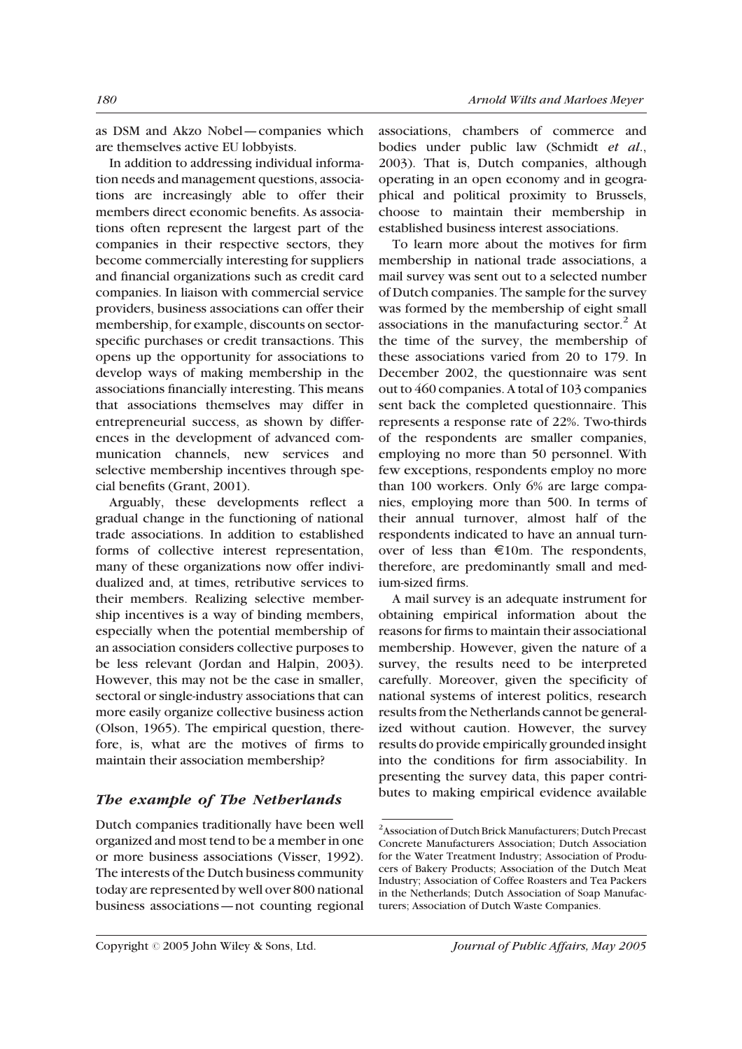as DSM and Akzo Nobel—companies which are themselves active EU lobbyists.

In addition to addressing individual information needs and management questions, associations are increasingly able to offer their members direct economic benefits. As associations often represent the largest part of the companies in their respective sectors, they become commercially interesting for suppliers and financial organizations such as credit card companies. In liaison with commercial service providers, business associations can offer their membership, for example, discounts on sectorspecific purchases or credit transactions. This opens up the opportunity for associations to develop ways of making membership in the associations financially interesting. This means that associations themselves may differ in entrepreneurial success, as shown by differences in the development of advanced communication channels, new services and selective membership incentives through special benefits (Grant, 2001).

Arguably, these developments reflect a gradual change in the functioning of national trade associations. In addition to established forms of collective interest representation, many of these organizations now offer individualized and, at times, retributive services to their members. Realizing selective membership incentives is a way of binding members, especially when the potential membership of an association considers collective purposes to be less relevant (Jordan and Halpin, 2003). However, this may not be the case in smaller, sectoral or single-industry associations that can more easily organize collective business action (Olson, 1965). The empirical question, therefore, is, what are the motives of firms to maintain their association membership?

## The example of The Netherlands

Dutch companies traditionally have been well organized and most tend to be a member in one or more business associations (Visser, 1992). The interests of the Dutch business community today are represented by well over 800 national business associations—not counting regional associations, chambers of commerce and bodies under public law (Schmidt et al., 2003). That is, Dutch companies, although operating in an open economy and in geographical and political proximity to Brussels, choose to maintain their membership in established business interest associations.

To learn more about the motives for firm membership in national trade associations, a mail survey was sent out to a selected number of Dutch companies. The sample for the survey was formed by the membership of eight small associations in the manufacturing sector.<sup>2</sup> At the time of the survey, the membership of these associations varied from 20 to 179. In December 2002, the questionnaire was sent out to 460 companies. A total of 103 companies sent back the completed questionnaire. This represents a response rate of 22%. Two-thirds of the respondents are smaller companies, employing no more than 50 personnel. With few exceptions, respondents employ no more than 100 workers. Only 6% are large companies, employing more than 500. In terms of their annual turnover, almost half of the respondents indicated to have an annual turnover of less than  $\epsilon$ 10m. The respondents, therefore, are predominantly small and medium-sized firms.

A mail survey is an adequate instrument for obtaining empirical information about the reasons for firms to maintain their associational membership. However, given the nature of a survey, the results need to be interpreted carefully. Moreover, given the specificity of national systems of interest politics, research results from the Netherlands cannot be generalized without caution. However, the survey results do provide empirically grounded insight into the conditions for firm associability. In presenting the survey data, this paper contributes to making empirical evidence available

<sup>&</sup>lt;sup>2</sup> Association of Dutch Brick Manufacturers; Dutch Precast Concrete Manufacturers Association; Dutch Association for the Water Treatment Industry; Association of Producers of Bakery Products; Association of the Dutch Meat Industry; Association of Coffee Roasters and Tea Packers in the Netherlands; Dutch Association of Soap Manufacturers; Association of Dutch Waste Companies.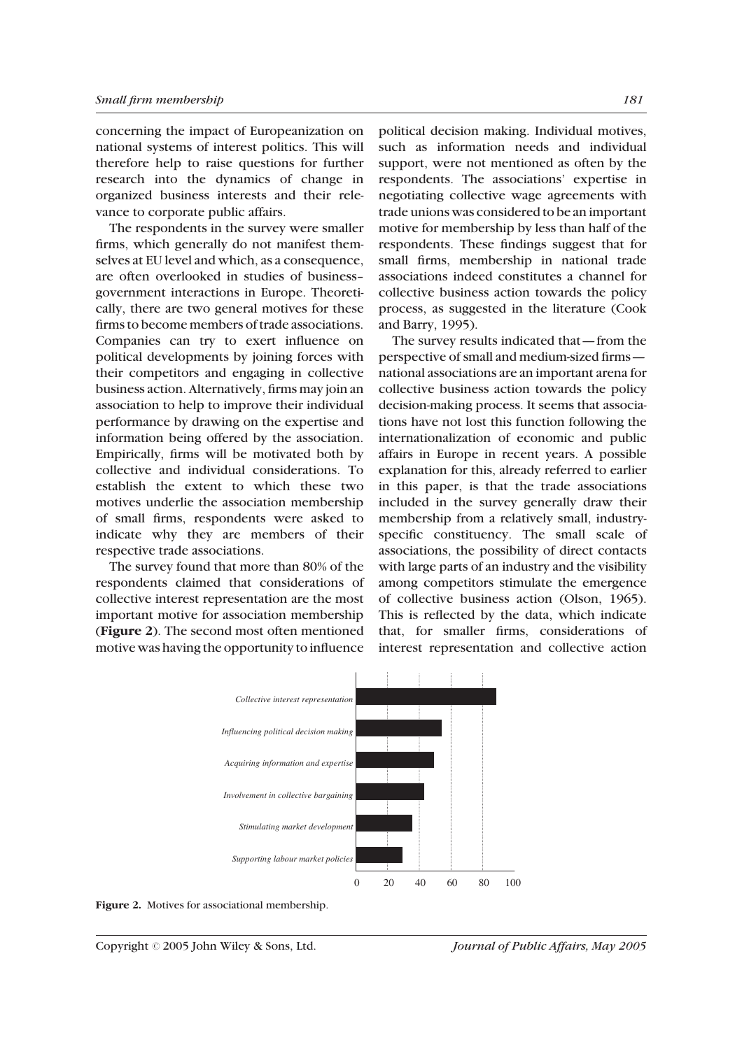concerning the impact of Europeanization on national systems of interest politics. This will therefore help to raise questions for further research into the dynamics of change in organized business interests and their relevance to corporate public affairs.

The respondents in the survey were smaller firms, which generally do not manifest themselves at EU level and which, as a consequence, are often overlooked in studies of business– government interactions in Europe. Theoretically, there are two general motives for these firms to become members of trade associations. Companies can try to exert influence on political developments by joining forces with their competitors and engaging in collective business action. Alternatively, firms may join an association to help to improve their individual performance by drawing on the expertise and information being offered by the association. Empirically, firms will be motivated both by collective and individual considerations. To establish the extent to which these two motives underlie the association membership of small firms, respondents were asked to indicate why they are members of their respective trade associations.

The survey found that more than 80% of the respondents claimed that considerations of collective interest representation are the most important motive for association membership (Figure 2). The second most often mentioned motive was having the opportunity to influence political decision making. Individual motives, such as information needs and individual support, were not mentioned as often by the respondents. The associations' expertise in negotiating collective wage agreements with trade unions was considered to be an important motive for membership by less than half of the respondents. These findings suggest that for small firms, membership in national trade associations indeed constitutes a channel for collective business action towards the policy process, as suggested in the literature (Cook and Barry, 1995).

The survey results indicated that—from the perspective of small and medium-sized firms national associations are an important arena for collective business action towards the policy decision-making process. It seems that associations have not lost this function following the internationalization of economic and public affairs in Europe in recent years. A possible explanation for this, already referred to earlier in this paper, is that the trade associations included in the survey generally draw their membership from a relatively small, industryspecific constituency. The small scale of associations, the possibility of direct contacts with large parts of an industry and the visibility among competitors stimulate the emergence of collective business action (Olson, 1965). This is reflected by the data, which indicate that, for smaller firms, considerations of interest representation and collective action



Figure 2. Motives for associational membership.

Copyright  $\degree$  2005 John Wiley & Sons, Ltd. Journal of Public Affairs, May 2005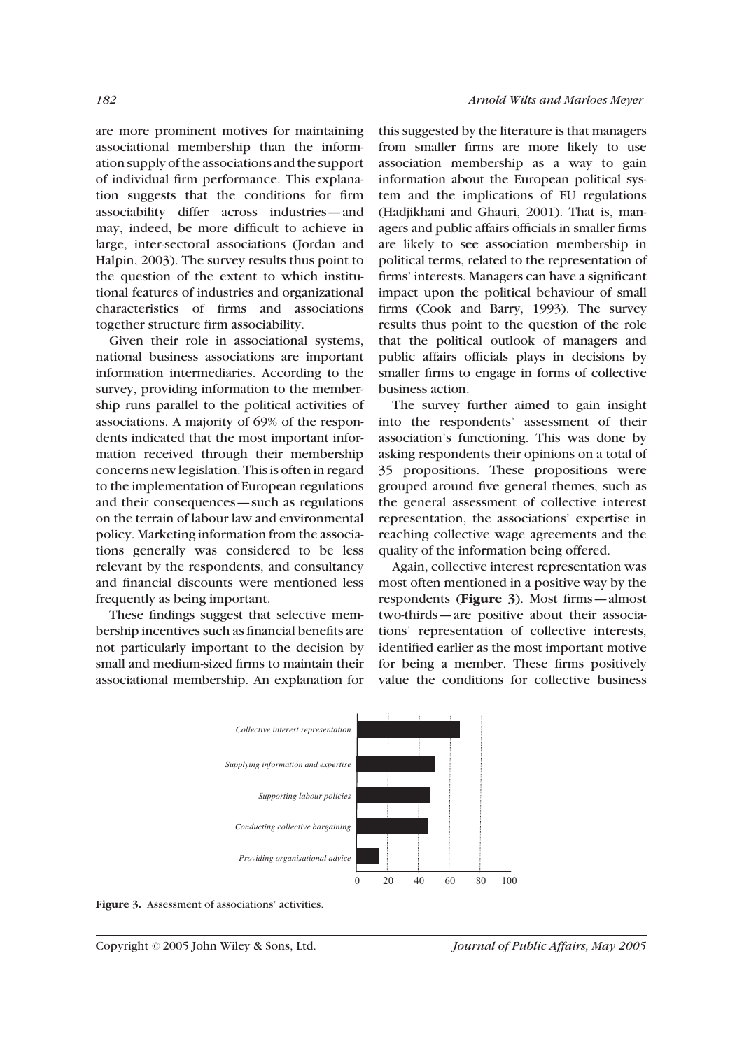are more prominent motives for maintaining associational membership than the information supply of the associations and the support of individual firm performance. This explanation suggests that the conditions for firm associability differ across industries—and may, indeed, be more difficult to achieve in large, inter-sectoral associations (Jordan and Halpin, 2003). The survey results thus point to the question of the extent to which institutional features of industries and organizational characteristics of firms and associations together structure firm associability.

Given their role in associational systems, national business associations are important information intermediaries. According to the survey, providing information to the membership runs parallel to the political activities of associations. A majority of 69% of the respondents indicated that the most important information received through their membership concerns new legislation. This is often in regard to the implementation of European regulations and their consequences—such as regulations on the terrain of labour law and environmental policy. Marketing information from the associations generally was considered to be less relevant by the respondents, and consultancy and financial discounts were mentioned less frequently as being important.

These findings suggest that selective membership incentives such as financial benefits are not particularly important to the decision by small and medium-sized firms to maintain their associational membership. An explanation for this suggested by the literature is that managers from smaller firms are more likely to use association membership as a way to gain information about the European political system and the implications of EU regulations (Hadjikhani and Ghauri, 2001). That is, managers and public affairs officials in smaller firms are likely to see association membership in political terms, related to the representation of firms' interests. Managers can have a significant impact upon the political behaviour of small firms (Cook and Barry, 1993). The survey results thus point to the question of the role that the political outlook of managers and public affairs officials plays in decisions by smaller firms to engage in forms of collective business action.

The survey further aimed to gain insight into the respondents' assessment of their association's functioning. This was done by asking respondents their opinions on a total of 35 propositions. These propositions were grouped around five general themes, such as the general assessment of collective interest representation, the associations' expertise in reaching collective wage agreements and the quality of the information being offered.

Again, collective interest representation was most often mentioned in a positive way by the respondents (Figure 3). Most firms—almost two-thirds—are positive about their associations' representation of collective interests, identified earlier as the most important motive for being a member. These firms positively value the conditions for collective business



Figure 3. Assessment of associations' activities.

Copyright  $\degree$  2005 John Wiley & Sons, Ltd. Journal of Public Affairs, May 2005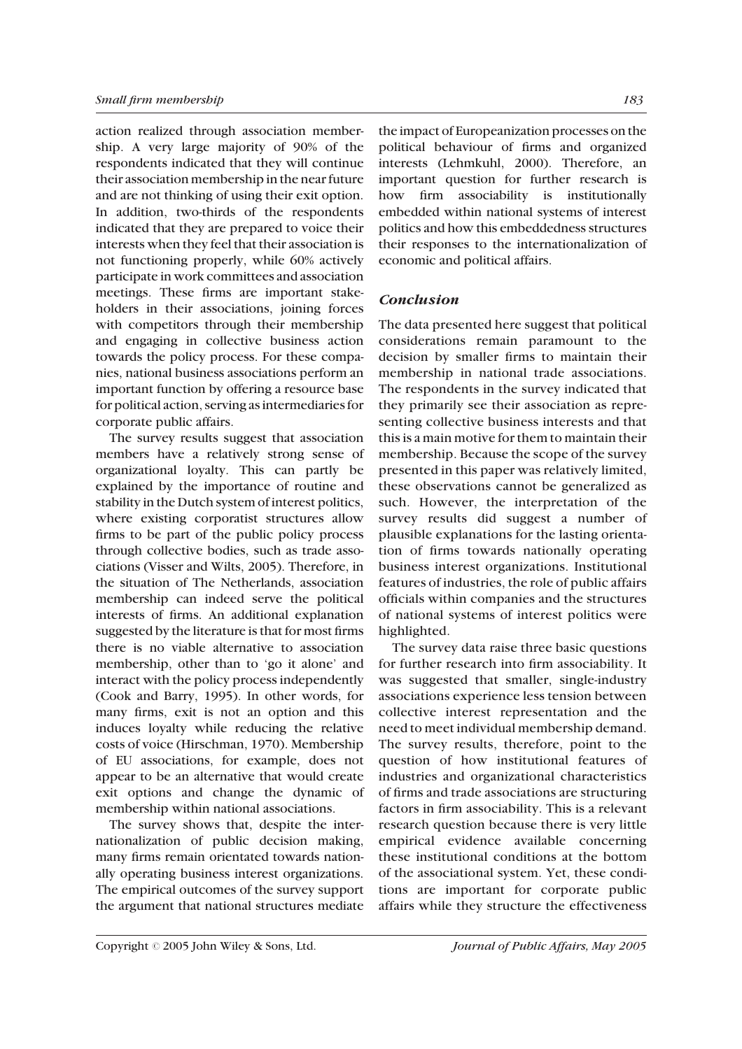action realized through association membership. A very large majority of 90% of the respondents indicated that they will continue their association membership in the near future and are not thinking of using their exit option. In addition, two-thirds of the respondents indicated that they are prepared to voice their interests when they feel that their association is not functioning properly, while 60% actively participate in work committees and association meetings. These firms are important stakeholders in their associations, joining forces with competitors through their membership and engaging in collective business action towards the policy process. For these companies, national business associations perform an important function by offering a resource base for political action, serving as intermediaries for corporate public affairs.

The survey results suggest that association members have a relatively strong sense of organizational loyalty. This can partly be explained by the importance of routine and stability in the Dutch system of interest politics, where existing corporatist structures allow firms to be part of the public policy process through collective bodies, such as trade associations (Visser and Wilts, 2005). Therefore, in the situation of The Netherlands, association membership can indeed serve the political interests of firms. An additional explanation suggested by the literature is that for most firms there is no viable alternative to association membership, other than to 'go it alone' and interact with the policy process independently (Cook and Barry, 1995). In other words, for many firms, exit is not an option and this induces loyalty while reducing the relative costs of voice (Hirschman, 1970). Membership of EU associations, for example, does not appear to be an alternative that would create exit options and change the dynamic of membership within national associations.

The survey shows that, despite the internationalization of public decision making, many firms remain orientated towards nationally operating business interest organizations. The empirical outcomes of the survey support the argument that national structures mediate the impact of Europeanization processes on the political behaviour of firms and organized interests (Lehmkuhl, 2000). Therefore, an important question for further research is how firm associability is institutionally embedded within national systems of interest politics and how this embeddedness structures their responses to the internationalization of economic and political affairs.

#### **Conclusion**

The data presented here suggest that political considerations remain paramount to the decision by smaller firms to maintain their membership in national trade associations. The respondents in the survey indicated that they primarily see their association as representing collective business interests and that this is a main motive for them to maintain their membership. Because the scope of the survey presented in this paper was relatively limited, these observations cannot be generalized as such. However, the interpretation of the survey results did suggest a number of plausible explanations for the lasting orientation of firms towards nationally operating business interest organizations. Institutional features of industries, the role of public affairs officials within companies and the structures of national systems of interest politics were highlighted.

The survey data raise three basic questions for further research into firm associability. It was suggested that smaller, single-industry associations experience less tension between collective interest representation and the need to meet individual membership demand. The survey results, therefore, point to the question of how institutional features of industries and organizational characteristics of firms and trade associations are structuring factors in firm associability. This is a relevant research question because there is very little empirical evidence available concerning these institutional conditions at the bottom of the associational system. Yet, these conditions are important for corporate public affairs while they structure the effectiveness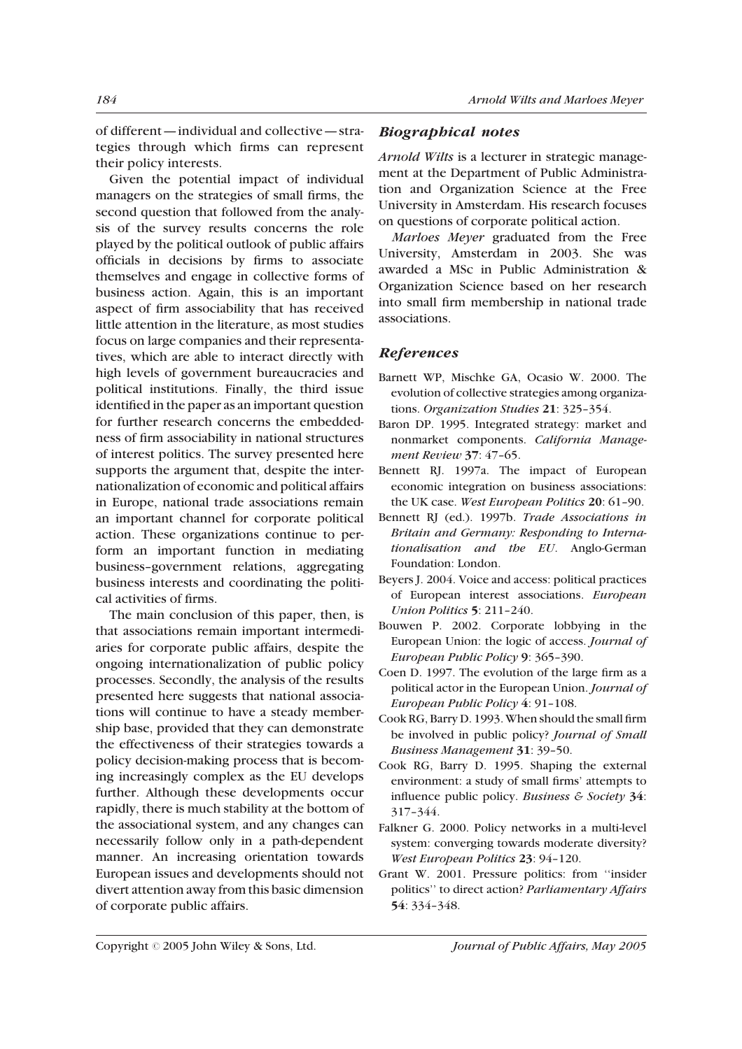of different—individual and collective—strategies through which firms can represent their policy interests.

Given the potential impact of individual managers on the strategies of small firms, the second question that followed from the analysis of the survey results concerns the role played by the political outlook of public affairs officials in decisions by firms to associate themselves and engage in collective forms of business action. Again, this is an important aspect of firm associability that has received little attention in the literature, as most studies focus on large companies and their representatives, which are able to interact directly with high levels of government bureaucracies and political institutions. Finally, the third issue identified in the paper as an important question for further research concerns the embeddedness of firm associability in national structures of interest politics. The survey presented here supports the argument that, despite the internationalization of economic and political affairs in Europe, national trade associations remain an important channel for corporate political action. These organizations continue to perform an important function in mediating business–government relations, aggregating business interests and coordinating the political activities of firms.

The main conclusion of this paper, then, is that associations remain important intermediaries for corporate public affairs, despite the ongoing internationalization of public policy processes. Secondly, the analysis of the results presented here suggests that national associations will continue to have a steady membership base, provided that they can demonstrate the effectiveness of their strategies towards a policy decision-making process that is becoming increasingly complex as the EU develops further. Although these developments occur rapidly, there is much stability at the bottom of the associational system, and any changes can necessarily follow only in a path-dependent manner. An increasing orientation towards European issues and developments should not divert attention away from this basic dimension of corporate public affairs.

## Biographical notes

Arnold Wilts is a lecturer in strategic management at the Department of Public Administration and Organization Science at the Free University in Amsterdam. His research focuses on questions of corporate political action.

Marloes Meyer graduated from the Free University, Amsterdam in 2003. She was awarded a MSc in Public Administration & Organization Science based on her research into small firm membership in national trade associations.

## References

- Barnett WP, Mischke GA, Ocasio W. 2000. The evolution of collective strategies among organizations. Organization Studies 21: 325–354.
- Baron DP. 1995. Integrated strategy: market and nonmarket components. California Management Review 37: 47–65.
- Bennett RJ. 1997a. The impact of European economic integration on business associations: the UK case. West European Politics 20: 61–90.
- Bennett RJ (ed.). 1997b. Trade Associations in Britain and Germany: Responding to Internationalisation and the EU. Anglo-German Foundation: London.
- Beyers J. 2004. Voice and access: political practices of European interest associations. European Union Politics 5: 211–240.
- Bouwen P. 2002. Corporate lobbying in the European Union: the logic of access. Journal of European Public Policy 9: 365–390.
- Coen D. 1997. The evolution of the large firm as a political actor in the European Union. Journal of European Public Policy 4: 91–108.
- Cook RG, Barry D. 1993. When should the small firm be involved in public policy? Journal of Small Business Management 31: 39–50.
- Cook RG, Barry D. 1995. Shaping the external environment: a study of small firms' attempts to influence public policy. Business & Society 34: 317–344.
- Falkner G. 2000. Policy networks in a multi-level system: converging towards moderate diversity? West European Politics 23: 94–120.
- Grant W. 2001. Pressure politics: from ''insider politics'' to direct action? Parliamentary Affairs 54: 334–348.